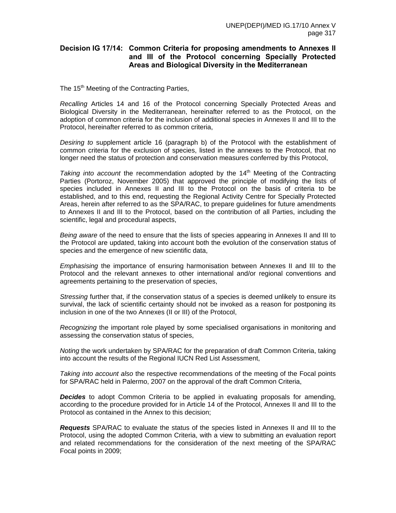## **Decision IG 17/14: Common Criteria for proposing amendments to Annexes II and III of the Protocol concerning Specially Protected Areas and Biological Diversity in the Mediterranean**

The 15<sup>th</sup> Meeting of the Contracting Parties,

*Recalling* Articles 14 and 16 of the Protocol concerning Specially Protected Areas and Biological Diversity in the Mediterranean, hereinafter referred to as the Protocol, on the adoption of common criteria for the inclusion of additional species in Annexes II and III to the Protocol, hereinafter referred to as common criteria,

*Desiring to* supplement article 16 (paragraph b) of the Protocol with the establishment of common criteria for the exclusion of species, listed in the annexes to the Protocol, that no longer need the status of protection and conservation measures conferred by this Protocol,

*Taking into account* the recommendation adopted by the 14<sup>th</sup> Meeting of the Contracting Parties (Portoroz, November 2005) that approved the principle of modifying the lists of species included in Annexes II and III to the Protocol on the basis of criteria to be established, and to this end, requesting the Regional Activity Centre for Specially Protected Areas, herein after referred to as the SPA/RAC, to prepare guidelines for future amendments to Annexes II and III to the Protocol, based on the contribution of all Parties, including the scientific, legal and procedural aspects,

*Being aware* of the need to ensure that the lists of species appearing in Annexes II and III to the Protocol are updated, taking into account both the evolution of the conservation status of species and the emergence of new scientific data,

*Emphasising* the importance of ensuring harmonisation between Annexes II and III to the Protocol and the relevant annexes to other international and/or regional conventions and agreements pertaining to the preservation of species,

*Stressing* further that, if the conservation status of a species is deemed unlikely to ensure its survival, the lack of scientific certainty should not be invoked as a reason for postponing its inclusion in one of the two Annexes (II or III) of the Protocol,

*Recognizing* the important role played by some specialised organisations in monitoring and assessing the conservation status of species,

*Noting* the work undertaken by SPA/RAC for the preparation of draft Common Criteria, taking into account the results of the Regional IUCN Red List Assessment,

*Taking into account also* the respective recommendations of the meeting of the Focal points for SPA/RAC held in Palermo, 2007 on the approval of the draft Common Criteria,

**Decides** to adopt Common Criteria to be applied in evaluating proposals for amending, according to the procedure provided for in Article 14 of the Protocol, Annexes II and III to the Protocol as contained in the Annex to this decision;

*Requests* SPA/RAC to evaluate the status of the species listed in Annexes II and III to the Protocol, using the adopted Common Criteria, with a view to submitting an evaluation report and related recommendations for the consideration of the next meeting of the SPA/RAC Focal points in 2009;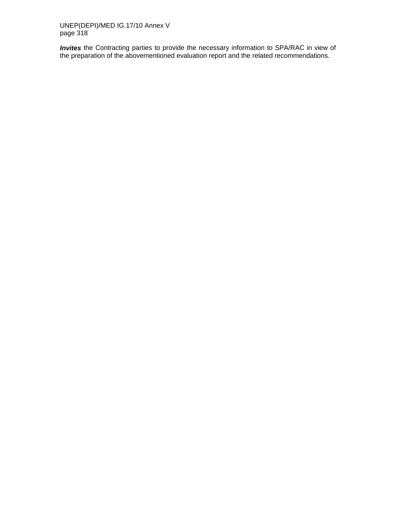UNEP(DEPI)/MED IG.17/10 Annex V page 318

*Invites* the Contracting parties to provide the necessary information to SPA/RAC in view of the preparation of the abovementioned evaluation report and the related recommendations.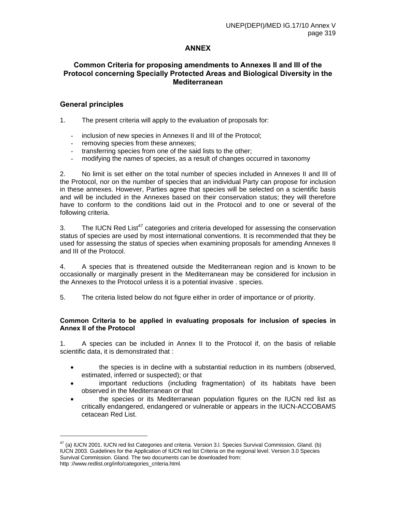# **ANNEX**

## **Common Criteria for proposing amendments to Annexes II and III of the Protocol concerning Specially Protected Areas and Biological Diversity in the Mediterranean**

### **General principles**

l

1. The present criteria will apply to the evaluation of proposals for:

- inclusion of new species in Annexes II and III of the Protocol;
- removing species from these annexes;
- transferring species from one of the said lists to the other;
- modifying the names of species, as a result of changes occurred in taxonomy

2. No limit is set either on the total number of species included in Annexes II and III of the Protocol, nor on the number of species that an individual Party can propose for inclusion in these annexes. However, Parties agree that species will be selected on a scientific basis and will be included in the Annexes based on their conservation status; they will therefore have to conform to the conditions laid out in the Protocol and to one or several of the following criteria.

3. The IUCN Red List<sup>47</sup> categories and criteria developed for assessing the conservation status of species are used by most international conventions. It is recommended that they be used for assessing the status of species when examining proposals for amending Annexes II and III of the Protocol.

4. A species that is threatened outside the Mediterranean region and is known to be occasionally or marginally present in the Mediterranean may be considered for inclusion in the Annexes to the Protocol unless it is a potential invasive . species.

5. The criteria listed below do not figure either in order of importance or of priority.

#### **Common Criteria to be applied in evaluating proposals for inclusion of species in Annex II of the Protocol**

1. A species can be included in Annex II to the Protocol if, on the basis of reliable scientific data, it is demonstrated that :

- the species is in decline with a substantial reduction in its numbers (observed, estimated, inferred or suspected); or that
- important reductions (including fragmentation) of its habitats have been observed in the Mediterranean or that
- the species or its Mediterranean population figures on the IUCN red list as critically endangered, endangered or vulnerable or appears in the IUCN-ACCOBAMS cetacean Red List.

<sup>&</sup>lt;sup>47</sup> (a) IUCN 2001. IUCN red list Categories and criteria. Version 3.I. Species Survival Commission, Gland. (b) IUCN 2003. Guidelines for the Application of IUCN red list Criteria on the regional level. Version 3.0 Species Survival Commission. Gland. The two documents can be downloaded from: http ://www.redlist.org/info/categories\_criteria.html.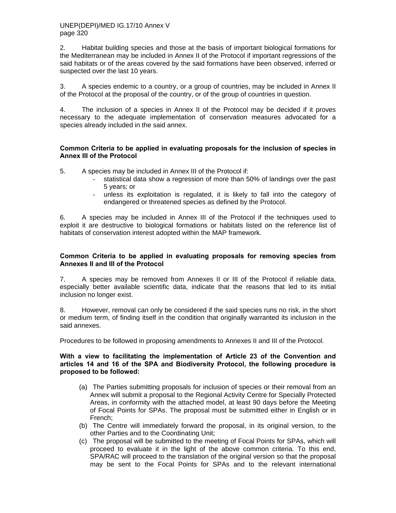2. Habitat building species and those at the basis of important biological formations for the Mediterranean may be included in Annex II of the Protocol if important regressions of the said habitats or of the areas covered by the said formations have been observed, inferred or suspected over the last 10 years.

3. A species endemic to a country, or a group of countries, may be included in Annex II of the Protocol at the proposal of the country, or of the group of countries in question.

4. The inclusion of a species in Annex II of the Protocol may be decided if it proves necessary to the adequate implementation of conservation measures advocated for a species already included in the said annex.

#### **Common Criteria to be applied in evaluating proposals for the inclusion of species in Annex III of the Protocol**

5. A species may be included in Annex III of the Protocol if:

- statistical data show a regression of more than 50% of landings over the past 5 years; or
- unless its exploitation is regulated, it is likely to fall into the category of endangered or threatened species as defined by the Protocol.

6. A species may be included in Annex III of the Protocol if the techniques used to exploit it are destructive to biological formations or habitats listed on the reference list of habitats of conservation interest adopted within the MAP framework.

#### **Common Criteria to be applied in evaluating proposals for removing species from Annexes II and III of the Protocol**

7. A species may be removed from Annexes II or III of the Protocol if reliable data, especially better available scientific data, indicate that the reasons that led to its initial inclusion no longer exist.

8. However, removal can only be considered if the said species runs no risk, in the short or medium term, of finding itself in the condition that originally warranted its inclusion in the said annexes.

Procedures to be followed in proposing amendments to Annexes II and III of the Protocol.

#### **With a view to facilitating the implementation of Article 23 of the Convention and articles 14 and 16 of the SPA and Biodiversity Protocol, the following procedure is proposed to be followed:**

- (a) The Parties submitting proposals for inclusion of species or their removal from an Annex will submit a proposal to the Regional Activity Centre for Specially Protected Areas, in conformity with the attached model, at least 90 days before the Meeting of Focal Points for SPAs. The proposal must be submitted either in English or in French;
- (b) The Centre will immediately forward the proposal, in its original version, to the other Parties and to the Coordinating Unit;
- (c) The proposal will be submitted to the meeting of Focal Points for SPAs, which will proceed to evaluate it in the light of the above common criteria. To this end, SPA/RAC will proceed to the translation of the original version so that the proposal may be sent to the Focal Points for SPAs and to the relevant international